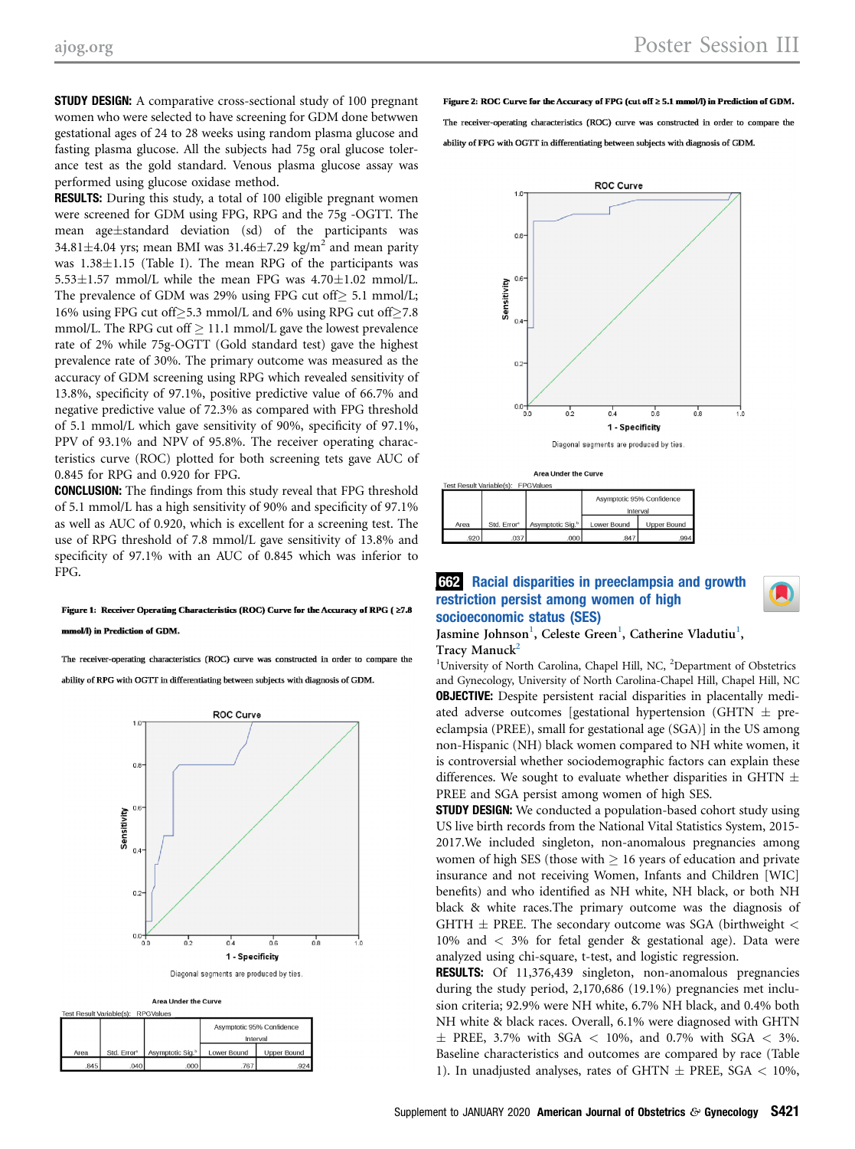**STUDY DESIGN:** A comparative cross-sectional study of 100 pregnant women who were selected to have screening for GDM done betwwen gestational ages of 24 to 28 weeks using random plasma glucose and fasting plasma glucose. All the subjects had 75g oral glucose tolerance test as the gold standard. Venous plasma glucose assay was performed using glucose oxidase method.

RESULTS: During this study, a total of 100 eligible pregnant women were screened for GDM using FPG, RPG and the 75g -OGTT. The mean age $\pm$ standard deviation (sd) of the participants was 34.81 $\pm$ 4.04 yrs; mean BMI was 31.46 $\pm$ 7.29 kg/m<sup>2</sup> and mean parity was  $1.38\pm1.15$  (Table I). The mean RPG of the participants was  $5.53\pm1.57$  mmol/L while the mean FPG was  $4.70\pm1.02$  mmol/L. The prevalence of GDM was 29% using FPG cut off $\geq$  5.1 mmol/L; 16% using FPG cut off $\geq$ 5.3 mmol/L and 6% using RPG cut off $\geq$ 7.8 mmol/L. The RPG cut off  $\geq 11.1$  mmol/L gave the lowest prevalence rate of 2% while 75g-OGTT (Gold standard test) gave the highest prevalence rate of 30%. The primary outcome was measured as the accuracy of GDM screening using RPG which revealed sensitivity of 13.8%, specificity of 97.1%, positive predictive value of 66.7% and negative predictive value of 72.3% as compared with FPG threshold of 5.1 mmol/L which gave sensitivity of 90%, specificity of 97.1%, PPV of 93.1% and NPV of 95.8%. The receiver operating characteristics curve (ROC) plotted for both screening tets gave AUC of 0.845 for RPG and 0.920 for FPG.

CONCLUSION: The findings from this study reveal that FPG threshold of 5.1 mmol/L has a high sensitivity of 90% and specificity of 97.1% as well as AUC of 0.920, which is excellent for a screening test. The use of RPG threshold of 7.8 mmol/L gave sensitivity of 13.8% and specificity of 97.1% with an AUC of 0.845 which was inferior to FPG.

# Figure 1: Receiver Operating Characteristics (ROC) Curve for the Accuracy of RPG (≥7.8

#### mmol/l) in Prediction of GDM.

The receiver-operating characteristics (ROC) curve was constructed in order to compare the ability of RPG with OGTT in differentiating between subjects with diagnosis of GDM.





Area Under the Curve

| Test Result Variable(s): RPGValues |                         |                              |                                       |                    |  |
|------------------------------------|-------------------------|------------------------------|---------------------------------------|--------------------|--|
|                                    |                         |                              | Asymptotic 95% Confidence<br>Interval |                    |  |
| Area                               | Std. Error <sup>a</sup> | Asymptotic Sig. <sup>b</sup> | Lower Bound                           | <b>Upper Bound</b> |  |
| .845                               | .040                    | .0001                        | .767                                  | .924               |  |

Figure 2: ROC Curve for the Accuracy of FPG (cut off  $\geq$  5.1 mmol/l) in Prediction of GDM. The receiver-operating characteristics (ROC) curve was constructed in order to compare the ability of FPG with OGTT in differentiating between subjects with diagnosis of GDM.



Area Under the Curve  $\det V$  original  $(\circ)$ . EDOMaker

|      |                         |                              | Asymptotic 95% Confidence |                    |  |
|------|-------------------------|------------------------------|---------------------------|--------------------|--|
|      |                         |                              | Interval                  |                    |  |
| Area | Std. Error <sup>a</sup> | Asymptotic Sig. <sup>b</sup> | <b>Lower Bound</b>        | <b>Upper Bound</b> |  |
| .920 | .037'                   | .000                         | .847                      | .994               |  |

## restriction persist among women of high socioeconomic status (SES)



### Jasmine Johnson<sup>1</sup>, Celeste Green<sup>1</sup>, Catherine Vladutiu<sup>1</sup>, Tracy Manuck<sup>2</sup>

<sup>1</sup>University of North Carolina, Chapel Hill, NC, <sup>2</sup>Department of Obstetrics and Gynecology, University of North Carolina-Chapel Hill, Chapel Hill, NC **OBJECTIVE:** Despite persistent racial disparities in placentally mediated adverse outcomes [gestational hypertension (GHTN  $\pm$  preeclampsia (PREE), small for gestational age (SGA)] in the US among non-Hispanic (NH) black women compared to NH white women, it is controversial whether sociodemographic factors can explain these differences. We sought to evaluate whether disparities in GHTN  $\pm$ PREE and SGA persist among women of high SES.

**STUDY DESIGN:** We conducted a population-based cohort study using US live birth records from the National Vital Statistics System, 2015- 2017.We included singleton, non-anomalous pregnancies among women of high SES (those with  $\geq 16$  years of education and private insurance and not receiving Women, Infants and Children [WIC] benefits) and who identified as NH white, NH black, or both NH black & white races.The primary outcome was the diagnosis of GHTH  $\pm$  PREE. The secondary outcome was SGA (birthweight  $<$ 10% and < 3% for fetal gender & gestational age). Data were analyzed using chi-square, t-test, and logistic regression.

RESULTS: Of 11,376,439 singleton, non-anomalous pregnancies during the study period, 2,170,686 (19.1%) pregnancies met inclusion criteria; 92.9% were NH white, 6.7% NH black, and 0.4% both NH white & black races. Overall, 6.1% were diagnosed with GHTN  $\pm$  PREE, 3.7% with SGA  $<$  10%, and 0.7% with SGA  $<$  3%. Baseline characteristics and outcomes are compared by race (Table 1). In unadjusted analyses, rates of GHTN  $\pm$  PREE, SGA  $<$  10%,